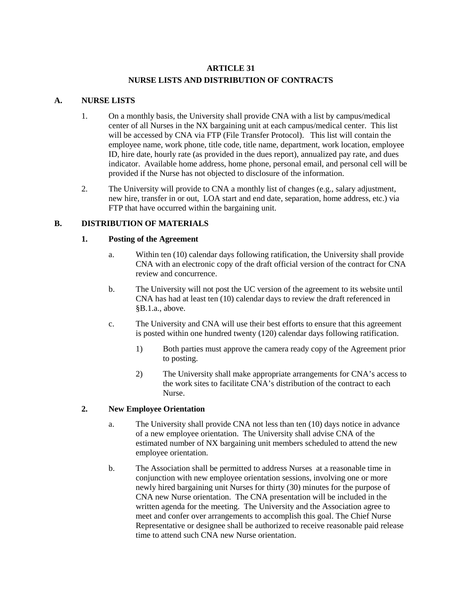# **ARTICLE 31 NURSE LISTS AND DISTRIBUTION OF CONTRACTS**

## **A. NURSE LISTS**

- 1. On a monthly basis, the University shall provide CNA with a list by campus/medical center of all Nurses in the NX bargaining unit at each campus/medical center. This list will be accessed by CNA via FTP (File Transfer Protocol). This list will contain the employee name, work phone, title code, title name, department, work location, employee ID, hire date, hourly rate (as provided in the dues report), annualized pay rate, and dues indicator. Available home address, home phone, personal email, and personal cell will be provided if the Nurse has not objected to disclosure of the information.
- 2. The University will provide to CNA a monthly list of changes (e.g., salary adjustment, new hire, transfer in or out, LOA start and end date, separation, home address, etc.) via FTP that have occurred within the bargaining unit.

## **B. DISTRIBUTION OF MATERIALS**

### **1. Posting of the Agreement**

- a. Within ten (10) calendar days following ratification, the University shall provide CNA with an electronic copy of the draft official version of the contract for CNA review and concurrence.
- b. The University will not post the UC version of the agreement to its website until CNA has had at least ten (10) calendar days to review the draft referenced in §B.1.a., above.
- c. The University and CNA will use their best efforts to ensure that this agreement is posted within one hundred twenty (120) calendar days following ratification.
	- 1) Both parties must approve the camera ready copy of the Agreement prior to posting.
	- 2) The University shall make appropriate arrangements for CNA's access to the work sites to facilitate  $\widehat{\text{CNA}}$ 's distribution of the contract to each Nurse.

### **2. New Employee Orientation**

- a. The University shall provide CNA not less than ten (10) days notice in advance of a new employee orientation. The University shall advise CNA of the estimated number of NX bargaining unit members scheduled to attend the new employee orientation.
- b. The Association shall be permitted to address Nurses at a reasonable time in conjunction with new employee orientation sessions, involving one or more newly hired bargaining unit Nurses for thirty (30) minutes for the purpose of CNA new Nurse orientation. The CNA presentation will be included in the written agenda for the meeting. The University and the Association agree to meet and confer over arrangements to accomplish this goal. The Chief Nurse Representative or designee shall be authorized to receive reasonable paid release time to attend such CNA new Nurse orientation.